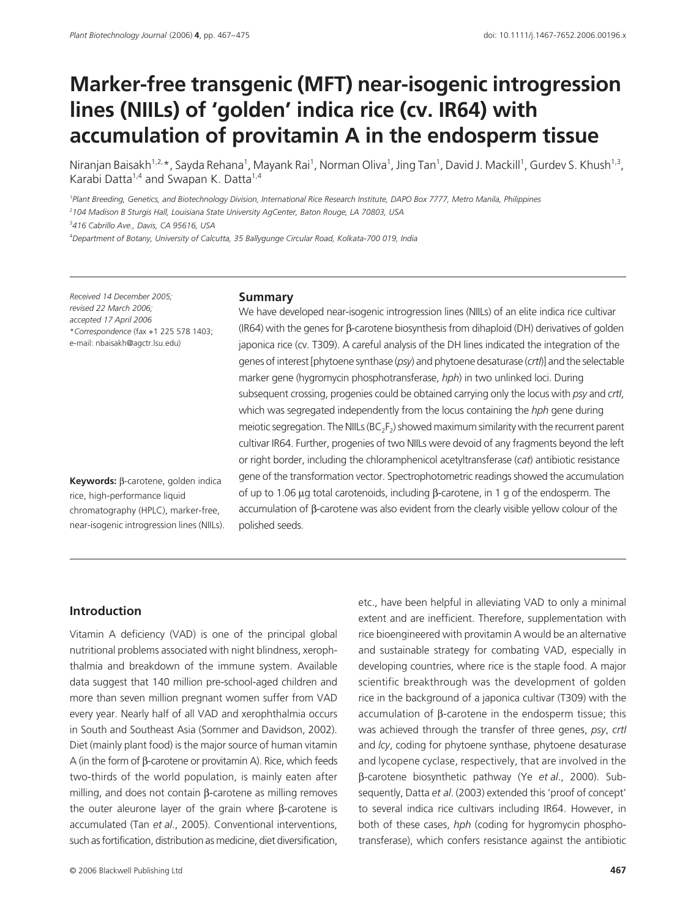# **Marker-free transgenic (MFT) near-isogenic introgression lines (NIILs) of 'golden' indica rice (cv. IR64) with accumulation of provitamin A in the endosperm tissue**

Niranjan Baisakh<sup>1,2,</sup>\*, Sayda Rehana<sup>1</sup>, Mayank Rai<sup>1</sup>, Norman Oliva<sup>1</sup>, Jing Tan<sup>1</sup>, David J. Mackill<sup>1</sup>, Gurdev S. Khush<sup>1,3</sup>, Karabi Datta<sup>1,4</sup> and Swapan K. Datta<sup>1,4</sup>

<sup>1</sup> Plant Breeding, Genetics, and Biotechnology Division, International Rice Research Institute, DAPO Box 7777, Metro Manila, Philippines <sup>2</sup>*104 Madison B Sturgis Hall, Louisiana State University AgCenter, Baton Rouge, LA 70803, USA*  <sup>3</sup>*416 Cabrillo Ave., Davis, CA 95616, USA* 

<sup>4</sup>*Department of Botany, University of Calcutta, 35 Ballygunge Circular Road, Kolkata-700 019, India* 

*Received 14 December 2005; revised 22 March 2006; accepted 17 April 2006* \**Correspondence* (fax +1 225 578 1403; e-mail: nbaisakh@agctr.lsu.edu)

## **Keywords:** β-carotene, golden indica rice, high-performance liquid chromatography (HPLC), marker-free, near-isogenic introgression lines (NIILs).

#### **Summary**

We have developed near-isogenic introgression lines (NIILs) of an elite indica rice cultivar (IR64) with the genes for β-carotene biosynthesis from dihaploid (DH) derivatives of golden japonica rice (cv. T309). A careful analysis of the DH lines indicated the integration of the genes of interest [phytoene synthase (*psy*) and phytoene desaturase (*crtI*)] and the selectable marker gene (hygromycin phosphotransferase, *hph*) in two unlinked loci. During subsequent crossing, progenies could be obtained carrying only the locus with *psy* and *crtI*, which was segregated independently from the locus containing the *hph* gene during meiotic segregation. The NIILs (BC<sub>2</sub>F<sub>2</sub>) showed maximum similarity with the recurrent parent cultivar IR64. Further, progenies of two NIILs were devoid of any fragments beyond the left or right border, including the chloramphenicol acetyltransferase (*cat*) antibiotic resistance gene of the transformation vector. Spectrophotometric readings showed the accumulation of up to 1.06 µg total carotenoids, including β-carotene, in 1 g of the endosperm. The accumulation of β-carotene was also evident from the clearly visible yellow colour of the polished seeds.

## **Introduction**

Vitamin A deficiency (VAD) is one of the principal global nutritional problems associated with night blindness, xerophthalmia and breakdown of the immune system. Available data suggest that 140 million pre-school-aged children and more than seven million pregnant women suffer from VAD every year. Nearly half of all VAD and xerophthalmia occurs in South and Southeast Asia (Sommer and Davidson, 2002). Diet (mainly plant food) is the major source of human vitamin A (in the form of β-carotene or provitamin A). Rice, which feeds two-thirds of the world population, is mainly eaten after milling, and does not contain β-carotene as milling removes the outer aleurone layer of the grain where β-carotene is accumulated (Tan *et al*., 2005). Conventional interventions, such as fortification, distribution as medicine, diet diversification,

etc., have been helpful in alleviating VAD to only a minimal extent and are inefficient. Therefore, supplementation with rice bioengineered with provitamin A would be an alternative and sustainable strategy for combating VAD, especially in developing countries, where rice is the staple food. A major scientific breakthrough was the development of golden rice in the background of a japonica cultivar (T309) with the accumulation of β-carotene in the endosperm tissue; this was achieved through the transfer of three genes, *psy*, *crtI* and *lcy*, coding for phytoene synthase, phytoene desaturase and lycopene cyclase, respectively, that are involved in the β-carotene biosynthetic pathway (Ye *et al*., 2000). Subsequently, Datta *et al*. (2003) extended this 'proof of concept' to several indica rice cultivars including IR64. However, in both of these cases, *hph* (coding for hygromycin phosphotransferase), which confers resistance against the antibiotic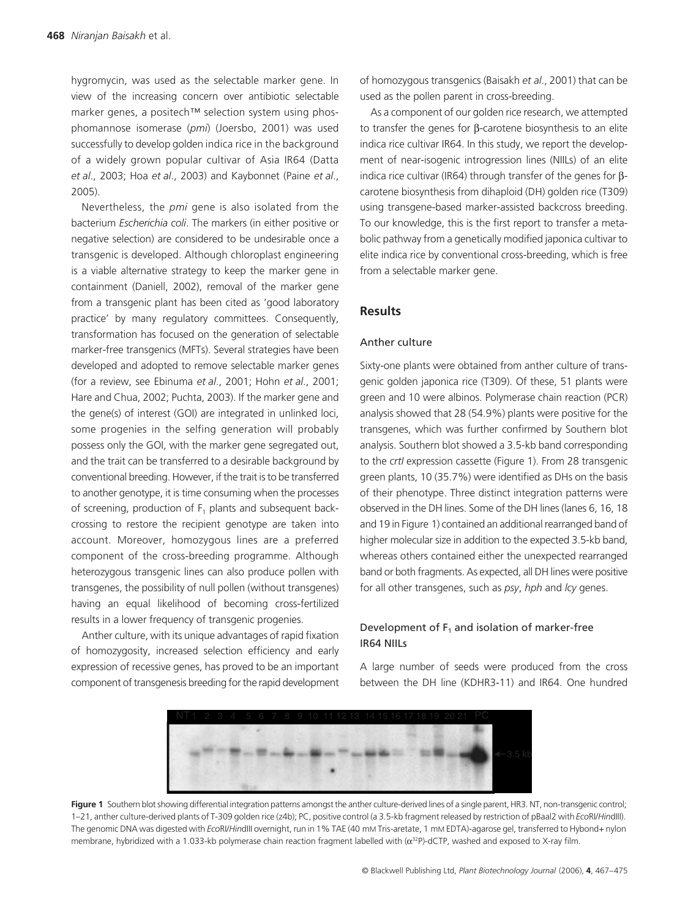hygromycin, was used as the selectable marker gene. In view of the increasing concern over antibiotic selectable marker genes, a positech™ selection system using phosphomannose isomerase (*pmi*) (Joersbo, 2001) was used successfully to develop golden indica rice in the background of a widely grown popular cultivar of Asia IR64 (Datta *et al*., 2003; Hoa *et al*., 2003) and Kaybonnet (Paine *et al*., 2005).

Nevertheless, the *pmi* gene is also isolated from the bacterium *Escherichia coli*. The markers (in either positive or negative selection) are considered to be undesirable once a transgenic is developed. Although chloroplast engineering is a viable alternative strategy to keep the marker gene in containment (Daniell, 2002), removal of the marker gene from a transgenic plant has been cited as 'good laboratory practice' by many regulatory committees. Consequently, transformation has focused on the generation of selectable marker-free transgenics (MFTs). Several strategies have been developed and adopted to remove selectable marker genes (for a review, see Ebinuma *et al*., 2001; Hohn *et al*., 2001; Hare and Chua, 2002; Puchta, 2003). If the marker gene and the gene(s) of interest (GOI) are integrated in unlinked loci, some progenies in the selfing generation will probably possess only the GOI, with the marker gene segregated out, and the trait can be transferred to a desirable background by conventional breeding. However, if the trait is to be transferred to another genotype, it is time consuming when the processes of screening, production of  $F_1$  plants and subsequent backcrossing to restore the recipient genotype are taken into account. Moreover, homozygous lines are a preferred component of the cross-breeding programme. Although heterozygous transgenic lines can also produce pollen with transgenes, the possibility of null pollen (without transgenes) having an equal likelihood of becoming cross-fertilized results in a lower frequency of transgenic progenies.

Anther culture, with its unique advantages of rapid fixation of homozygosity, increased selection efficiency and early expression of recessive genes, has proved to be an important component of transgenesis breeding for the rapid development

of homozygous transgenics (Baisakh *et al*., 2001) that can be used as the pollen parent in cross-breeding.

As a component of our golden rice research, we attempted to transfer the genes for β-carotene biosynthesis to an elite indica rice cultivar IR64. In this study, we report the development of near-isogenic introgression lines (NIILs) of an elite indica rice cultivar (IR64) through transfer of the genes for βcarotene biosynthesis from dihaploid (DH) golden rice (T309) using transgene-based marker-assisted backcross breeding. To our knowledge, this is the first report to transfer a metabolic pathway from a genetically modified japonica cultivar to elite indica rice by conventional cross-breeding, which is free from a selectable marker gene.

# **Results**

#### Anther culture

Sixty-one plants were obtained from anther culture of transgenic golden japonica rice (T309). Of these, 51 plants were green and 10 were albinos. Polymerase chain reaction (PCR) analysis showed that 28 (54.9%) plants were positive for the transgenes, which was further confirmed by Southern blot analysis. Southern blot showed a 3.5-kb band corresponding to the *crtI* expression cassette (Figure 1). From 28 transgenic green plants, 10 (35.7%) were identified as DHs on the basis of their phenotype. Three distinct integration patterns were observed in the DH lines. Some of the DH lines (lanes 6, 16, 18 and 19 in Figure 1) contained an additional rearranged band of higher molecular size in addition to the expected 3.5-kb band, whereas others contained either the unexpected rearranged band or both fragments. As expected, all DH lines were positive for all other transgenes, such as *psy*, *hph* and *lcy* genes.

## Development of  $F_1$  and isolation of marker-free IR64 NIILs

A large number of seeds were produced from the cross between the DH line (KDHR3-11) and IR64. One hundred



Figure 1 Southern blot showing differential integration patterns amongst the anther culture-derived lines of a single parent, HR3. NT, non-transgenic control; 1–21, anther culture-derived plants of T-309 golden rice (z4b); PC, positive control (a 3.5-kb fragment released by restriction of pBaal2 with *Eco*RI/*Hin*dIII). The genomic DNA was digested with *Eco*RI/*Hin*dIII overnight, run in 1% TAE (40 mM Tris-aretate, 1 mM EDTA)-agarose gel, transferred to Hybond+ nylon membrane, hybridized with a 1.033-kb polymerase chain reaction fragment labelled with (α<sup>32</sup>P)-dCTP, washed and exposed to X-ray film.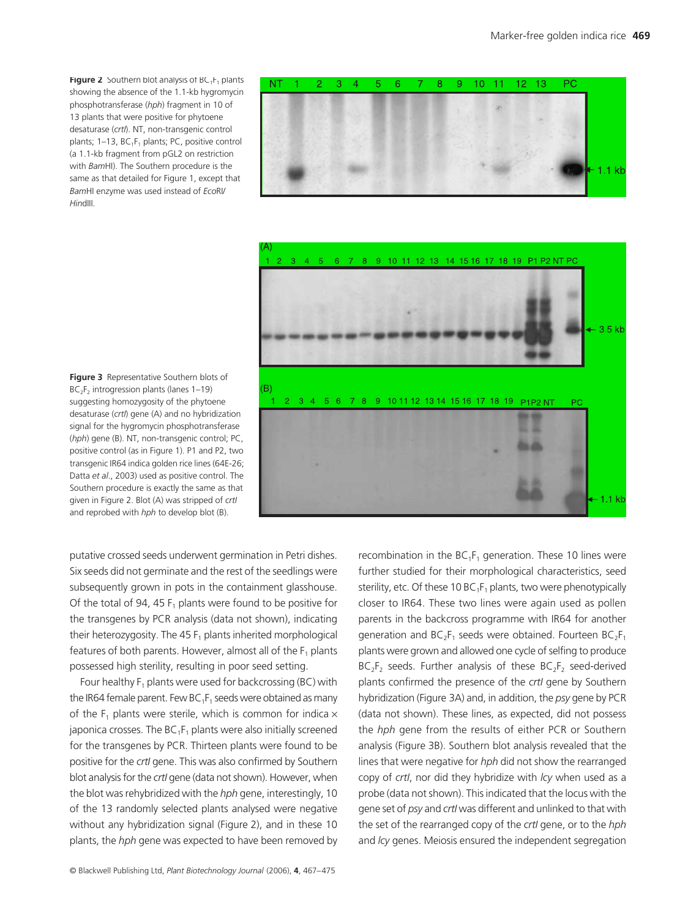**Figure 2** Southern blot analysis of  $BC_1F_1$  plants showing the absence of the 1.1-kb hygromycin phosphotransferase (*hph*) fragment in 10 of 13 plants that were positive for phytoene desaturase (*crtI*). NT, non-transgenic control plants;  $1-13$ ,  $BC_1F_1$  plants; PC, positive control (a 1.1-kb fragment from pGL2 on restriction with *Bam*HI). The Southern procedure is the same as that detailed for Figure 1, except that *Bam*HI enzyme was used instead of *Eco*RI/ *Hin*dIII.





**Figure 3** Representative Southern blots of  $BC_2F_2$  introgression plants (lanes 1–19) suggesting homozygosity of the phytoene desaturase (*crtI*) gene (A) and no hybridization signal for the hygromycin phosphotransferase (*hph*) gene (B). NT, non-transgenic control; PC, positive control (as in Figure 1). P1 and P2, two transgenic IR64 indica golden rice lines (64E-26; Datta *et al*., 2003) used as positive control. The Southern procedure is exactly the same as that given in Figure 2. Blot (A) was stripped of *crtI* and reprobed with *hph* to develop blot (B).

putative crossed seeds underwent germination in Petri dishes. Six seeds did not germinate and the rest of the seedlings were subsequently grown in pots in the containment glasshouse. Of the total of 94, 45  $F_1$  plants were found to be positive for the transgenes by PCR analysis (data not shown), indicating their heterozygosity. The 45 $F_1$  plants inherited morphological features of both parents. However, almost all of the  $F_1$  plants possessed high sterility, resulting in poor seed setting.

Four healthy  $F_1$  plants were used for backcrossing (BC) with the IR64 female parent. Few BC<sub>1</sub>F<sub>1</sub> seeds were obtained as many of the  $F_1$  plants were sterile, which is common for indica  $\times$ japonica crosses. The  $BC_1F_1$  plants were also initially screened for the transgenes by PCR. Thirteen plants were found to be positive for the *crtI* gene. This was also confirmed by Southern blot analysis for the *crtI* gene (data not shown). However, when the blot was rehybridized with the *hph* gene, interestingly, 10 of the 13 randomly selected plants analysed were negative without any hybridization signal (Figure 2), and in these 10 plants, the *hph* gene was expected to have been removed by recombination in the  $BC_1F_1$  generation. These 10 lines were further studied for their morphological characteristics, seed sterility, etc. Of these 10  $BC_1F_1$  plants, two were phenotypically closer to IR64. These two lines were again used as pollen parents in the backcross programme with IR64 for another generation and  $BC_2F_1$  seeds were obtained. Fourteen  $BC_2F_1$ plants were grown and allowed one cycle of selfing to produce  $BC_2F_2$  seeds. Further analysis of these  $BC_2F_2$  seed-derived plants confirmed the presence of the *crtI* gene by Southern hybridization (Figure 3A) and, in addition, the *psy* gene by PCR (data not shown). These lines, as expected, did not possess the *hph* gene from the results of either PCR or Southern analysis (Figure 3B). Southern blot analysis revealed that the lines that were negative for *hph* did not show the rearranged copy of *crtI*, nor did they hybridize with *lcy* when used as a probe (data not shown). This indicated that the locus with the gene set of *psy* and *crtI* was different and unlinked to that with the set of the rearranged copy of the *crtI* gene, or to the *hph* and *lcy* genes. Meiosis ensured the independent segregation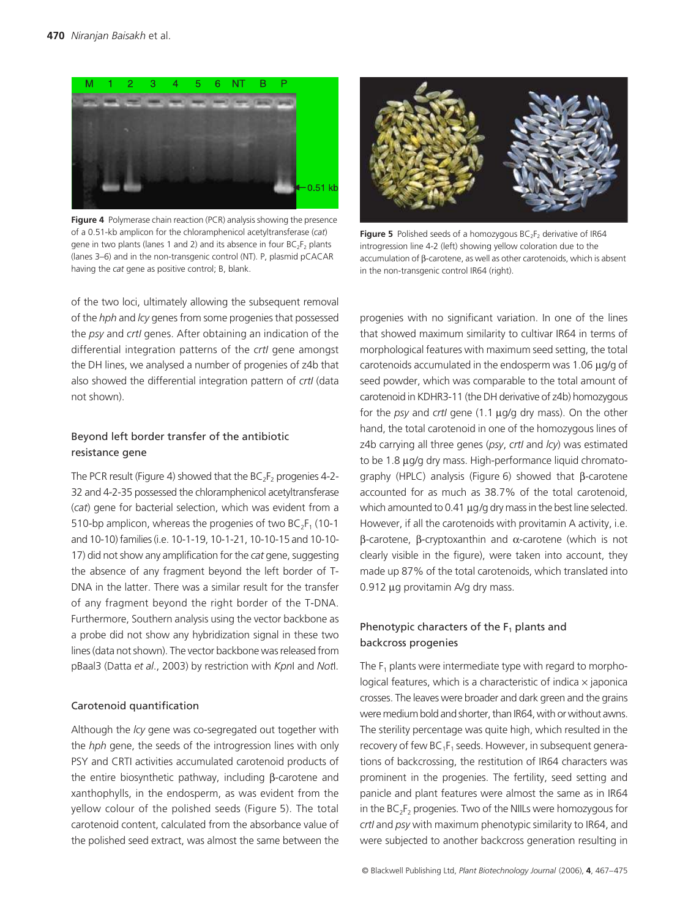

**Figure 4** Polymerase chain reaction (PCR) analysis showing the presence of a 0.51-kb amplicon for the chloramphenicol acetyltransferase (*cat*) gene in two plants (lanes 1 and 2) and its absence in four  $BC_2F_2$  plants (lanes 3–6) and in the non-transgenic control (NT). P, plasmid pCACAR having the *cat* gene as positive control; B, blank.



**Figure 5** Polished seeds of a homozygous  $BC_2F_2$  derivative of IR64 introgression line 4-2 (left) showing yellow coloration due to the accumulation of β-carotene, as well as other carotenoids, which is absent in the non-transgenic control IR64 (right).

of the two loci, ultimately allowing the subsequent removal of the *hph* and *lcy* genes from some progenies that possessed the *psy* and *crtI* genes. After obtaining an indication of the differential integration patterns of the *crtI* gene amongst the DH lines, we analysed a number of progenies of z4b that also showed the differential integration pattern of *crtI* (data not shown).

## Beyond left border transfer of the antibiotic resistance gene

The PCR result (Figure 4) showed that the  $BC_2F_2$  progenies 4-2-32 and 4-2-35 possessed the chloramphenicol acetyltransferase (*cat*) gene for bacterial selection, which was evident from a 510-bp amplicon, whereas the progenies of two  $BC_2F_1$  (10-1 and 10-10) families (i.e. 10-1-19, 10-1-21, 10-10-15 and 10-10- 17) did not show any amplification for the *cat* gene, suggesting the absence of any fragment beyond the left border of T-DNA in the latter. There was a similar result for the transfer of any fragment beyond the right border of the T-DNA. Furthermore, Southern analysis using the vector backbone as a probe did not show any hybridization signal in these two lines (data not shown). The vector backbone was released from pBaal3 (Datta *et al*., 2003) by restriction with *Kpn*I and *Not*I.

#### Carotenoid quantification

Although the *lcy* gene was co-segregated out together with the *hph* gene, the seeds of the introgression lines with only PSY and CRTI activities accumulated carotenoid products of the entire biosynthetic pathway, including β-carotene and xanthophylls, in the endosperm, as was evident from the yellow colour of the polished seeds (Figure 5). The total carotenoid content, calculated from the absorbance value of the polished seed extract, was almost the same between the

progenies with no significant variation. In one of the lines that showed maximum similarity to cultivar IR64 in terms of morphological features with maximum seed setting, the total carotenoids accumulated in the endosperm was 1.06 µg/g of seed powder, which was comparable to the total amount of carotenoid in KDHR3-11 (the DH derivative of z4b) homozygous for the *psy* and *crtI* gene (1.1 µg/g dry mass). On the other hand, the total carotenoid in one of the homozygous lines of z4b carrying all three genes (*psy*, *crtI* and *lcy*) was estimated to be 1.8 µg/g dry mass. High-performance liquid chromatography (HPLC) analysis (Figure 6) showed that β-carotene accounted for as much as 38.7% of the total carotenoid, which amounted to 0.41  $\mu$ g/g dry mass in the best line selected. However, if all the carotenoids with provitamin A activity, i.e. β-carotene, β-cryptoxanthin and α-carotene (which is not clearly visible in the figure), were taken into account, they made up 87% of the total carotenoids, which translated into 0.912 µg provitamin A/g dry mass.

## Phenotypic characters of the  $F_1$  plants and backcross progenies

The  $F_1$  plants were intermediate type with regard to morphological features, which is a characteristic of indica  $\times$  japonica crosses. The leaves were broader and dark green and the grains were medium bold and shorter, than IR64, with or without awns. The sterility percentage was quite high, which resulted in the recovery of few  $BC_1F_1$  seeds. However, in subsequent generations of backcrossing, the restitution of IR64 characters was prominent in the progenies. The fertility, seed setting and panicle and plant features were almost the same as in IR64 in the BC<sub>2</sub>F<sub>2</sub> progenies. Two of the NIILs were homozygous for *crtI* and *psy* with maximum phenotypic similarity to IR64, and were subjected to another backcross generation resulting in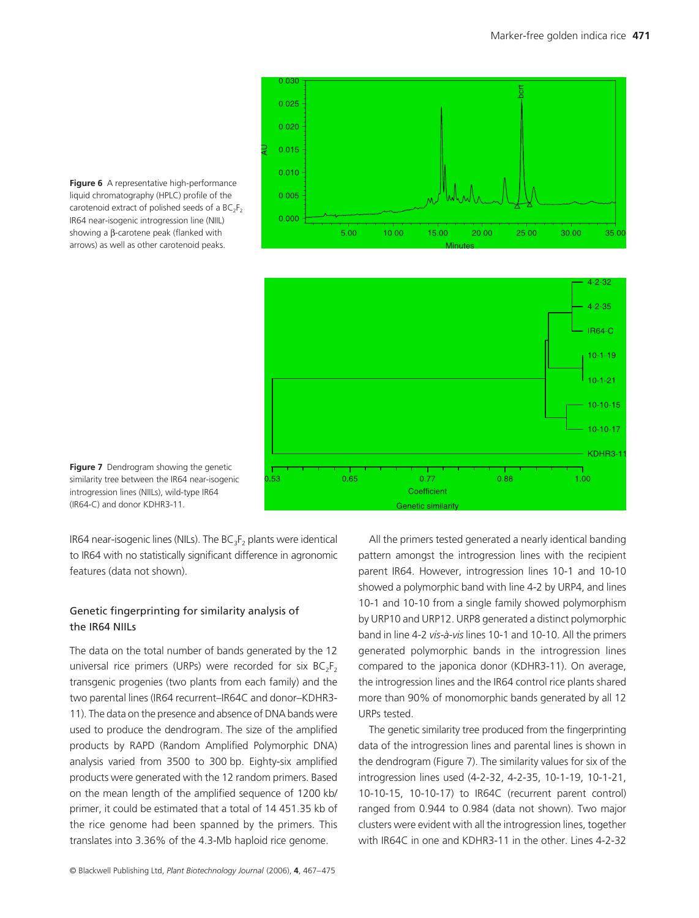





**Figure 7** Dendrogram showing the genetic similarity tree between the IR64 near-isogenic introgression lines (NIILs), wild-type IR64 (IR64-C) and donor KDHR3-11.

IR64 near-isogenic lines (NILs). The  $BC_3F_2$  plants were identical to IR64 with no statistically significant difference in agronomic features (data not shown).

# Genetic fingerprinting for similarity analysis of the IR64 NIILs

The data on the total number of bands generated by the 12 universal rice primers (URPs) were recorded for six  $BC_2F_2$ transgenic progenies (two plants from each family) and the two parental lines (IR64 recurrent–IR64C and donor–KDHR3- 11). The data on the presence and absence of DNA bands were used to produce the dendrogram. The size of the amplified products by RAPD (Random Amplified Polymorphic DNA) analysis varied from 3500 to 300 bp. Eighty-six amplified products were generated with the 12 random primers. Based on the mean length of the amplified sequence of 1200 kb/ primer, it could be estimated that a total of 14 451.35 kb of the rice genome had been spanned by the primers. This translates into 3.36% of the 4.3-Mb haploid rice genome.

All the primers tested generated a nearly identical banding pattern amongst the introgression lines with the recipient parent IR64. However, introgression lines 10-1 and 10-10 showed a polymorphic band with line 4-2 by URP4, and lines 10-1 and 10-10 from a single family showed polymorphism by URP10 and URP12. URP8 generated a distinct polymorphic band in line 4-2 *vis-à-vis* lines 10-1 and 10-10. All the primers generated polymorphic bands in the introgression lines compared to the japonica donor (KDHR3-11). On average, the introgression lines and the IR64 control rice plants shared more than 90% of monomorphic bands generated by all 12 URPs tested.

The genetic similarity tree produced from the fingerprinting data of the introgression lines and parental lines is shown in the dendrogram (Figure 7). The similarity values for six of the introgression lines used (4-2-32, 4-2-35, 10-1-19, 10-1-21, 10-10-15, 10-10-17) to IR64C (recurrent parent control) ranged from 0.944 to 0.984 (data not shown). Two major clusters were evident with all the introgression lines, together with IR64C in one and KDHR3-11 in the other. Lines 4-2-32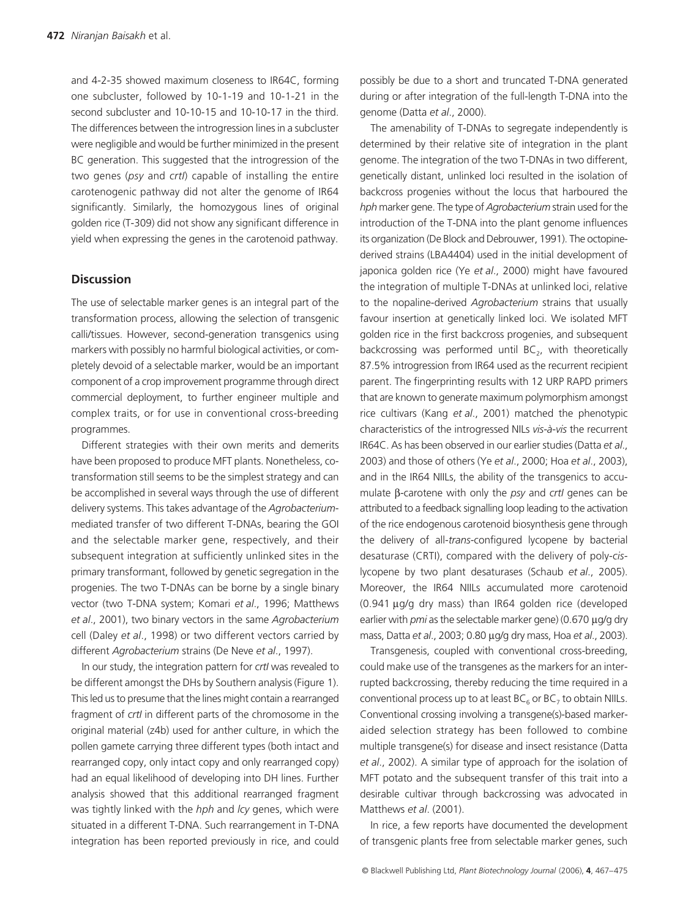and 4-2-35 showed maximum closeness to IR64C, forming one subcluster, followed by 10-1-19 and 10-1-21 in the second subcluster and 10-10-15 and 10-10-17 in the third. The differences between the introgression lines in a subcluster were negligible and would be further minimized in the present BC generation. This suggested that the introgression of the two genes (*psy* and *crtI*) capable of installing the entire carotenogenic pathway did not alter the genome of IR64 significantly. Similarly, the homozygous lines of original golden rice (T-309) did not show any significant difference in yield when expressing the genes in the carotenoid pathway.

## **Discussion**

The use of selectable marker genes is an integral part of the transformation process, allowing the selection of transgenic calli/tissues. However, second-generation transgenics using markers with possibly no harmful biological activities, or completely devoid of a selectable marker, would be an important component of a crop improvement programme through direct commercial deployment, to further engineer multiple and complex traits, or for use in conventional cross-breeding programmes.

Different strategies with their own merits and demerits have been proposed to produce MFT plants. Nonetheless, cotransformation still seems to be the simplest strategy and can be accomplished in several ways through the use of different delivery systems. This takes advantage of the *Agrobacterium*mediated transfer of two different T-DNAs, bearing the GOI and the selectable marker gene, respectively, and their subsequent integration at sufficiently unlinked sites in the primary transformant, followed by genetic segregation in the progenies. The two T-DNAs can be borne by a single binary vector (two T-DNA system; Komari *et al*., 1996; Matthews *et al*., 2001), two binary vectors in the same *Agrobacterium* cell (Daley *et al*., 1998) or two different vectors carried by different *Agrobacterium* strains (De Neve *et al*., 1997).

In our study, the integration pattern for *crtI* was revealed to be different amongst the DHs by Southern analysis (Figure 1). This led us to presume that the lines might contain a rearranged fragment of *crtI* in different parts of the chromosome in the original material (z4b) used for anther culture, in which the pollen gamete carrying three different types (both intact and rearranged copy, only intact copy and only rearranged copy) had an equal likelihood of developing into DH lines. Further analysis showed that this additional rearranged fragment was tightly linked with the *hph* and *lcy* genes, which were situated in a different T-DNA. Such rearrangement in T-DNA integration has been reported previously in rice, and could

possibly be due to a short and truncated T-DNA generated during or after integration of the full-length T-DNA into the genome (Datta *et al*., 2000).

The amenability of T-DNAs to segregate independently is determined by their relative site of integration in the plant genome. The integration of the two T-DNAs in two different, genetically distant, unlinked loci resulted in the isolation of backcross progenies without the locus that harboured the *hph* marker gene. The type of *Agrobacterium* strain used for the introduction of the T-DNA into the plant genome influences its organization (De Block and Debrouwer, 1991). The octopinederived strains (LBA4404) used in the initial development of japonica golden rice (Ye *et al*., 2000) might have favoured the integration of multiple T-DNAs at unlinked loci, relative to the nopaline-derived *Agrobacterium* strains that usually favour insertion at genetically linked loci. We isolated MFT golden rice in the first backcross progenies, and subsequent backcrossing was performed until  $BC_2$ , with theoretically 87.5% introgression from IR64 used as the recurrent recipient parent. The fingerprinting results with 12 URP RAPD primers that are known to generate maximum polymorphism amongst rice cultivars (Kang *et al*., 2001) matched the phenotypic characteristics of the introgressed NILs *vis-à-vis* the recurrent IR64C. As has been observed in our earlier studies (Datta *et al*., 2003) and those of others (Ye *et al*., 2000; Hoa *et al*., 2003), and in the IR64 NIILs, the ability of the transgenics to accumulate β-carotene with only the *psy* and *crtI* genes can be attributed to a feedback signalling loop leading to the activation of the rice endogenous carotenoid biosynthesis gene through the delivery of all-*trans*-configured lycopene by bacterial desaturase (CRTI), compared with the delivery of poly-*cis*lycopene by two plant desaturases (Schaub *et al*., 2005). Moreover, the IR64 NIILs accumulated more carotenoid (0.941 µg/g dry mass) than IR64 golden rice (developed earlier with *pmi* as the selectable marker gene) (0.670 µg/g dry mass, Datta *et al*., 2003; 0.80 µg/g dry mass, Hoa *et al*., 2003).

Transgenesis, coupled with conventional cross-breeding, could make use of the transgenes as the markers for an interrupted backcrossing, thereby reducing the time required in a conventional process up to at least  $BC_6$  or  $BC_7$  to obtain NIILs. Conventional crossing involving a transgene(s)-based markeraided selection strategy has been followed to combine multiple transgene(s) for disease and insect resistance (Datta *et al*., 2002). A similar type of approach for the isolation of MFT potato and the subsequent transfer of this trait into a desirable cultivar through backcrossing was advocated in Matthews *et al*. (2001).

In rice, a few reports have documented the development of transgenic plants free from selectable marker genes, such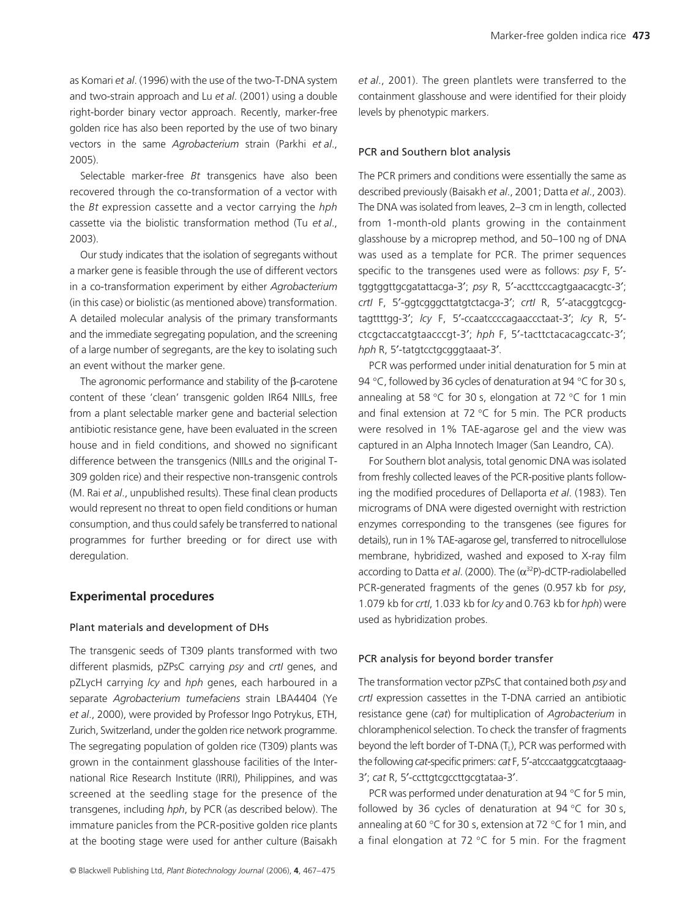as Komari *et al*. (1996) with the use of the two-T-DNA system and two-strain approach and Lu *et al*. (2001) using a double right-border binary vector approach. Recently, marker-free golden rice has also been reported by the use of two binary vectors in the same *Agrobacterium* strain (Parkhi *et al*., 2005).

Selectable marker-free *Bt* transgenics have also been recovered through the co-transformation of a vector with the *Bt* expression cassette and a vector carrying the *hph* cassette via the biolistic transformation method (Tu *et al*., 2003).

Our study indicates that the isolation of segregants without a marker gene is feasible through the use of different vectors in a co-transformation experiment by either *Agrobacterium* (in this case) or biolistic (as mentioned above) transformation. A detailed molecular analysis of the primary transformants and the immediate segregating population, and the screening of a large number of segregants, are the key to isolating such an event without the marker gene.

The agronomic performance and stability of the β-carotene content of these 'clean' transgenic golden IR64 NIILs, free from a plant selectable marker gene and bacterial selection antibiotic resistance gene, have been evaluated in the screen house and in field conditions, and showed no significant difference between the transgenics (NIILs and the original T-309 golden rice) and their respective non-transgenic controls (M. Rai *et al*., unpublished results). These final clean products would represent no threat to open field conditions or human consumption, and thus could safely be transferred to national programmes for further breeding or for direct use with deregulation.

## **Experimental procedures**

#### Plant materials and development of DHs

The transgenic seeds of T309 plants transformed with two different plasmids, pZPsC carrying *psy* and *crtI* genes, and pZLycH carrying *lcy* and *hph* genes, each harboured in a separate *Agrobacterium tumefaciens* strain LBA4404 (Ye *et al*., 2000), were provided by Professor Ingo Potrykus, ETH, Zurich, Switzerland, under the golden rice network programme. The segregating population of golden rice (T309) plants was grown in the containment glasshouse facilities of the International Rice Research Institute (IRRI), Philippines, and was screened at the seedling stage for the presence of the transgenes, including *hph*, by PCR (as described below). The immature panicles from the PCR-positive golden rice plants at the booting stage were used for anther culture (Baisakh

*et al*., 2001). The green plantlets were transferred to the containment glasshouse and were identified for their ploidy levels by phenotypic markers.

#### PCR and Southern blot analysis

The PCR primers and conditions were essentially the same as described previously (Baisakh *et al*., 2001; Datta *et al*., 2003). The DNA was isolated from leaves, 2–3 cm in length, collected from 1-month-old plants growing in the containment glasshouse by a microprep method, and 50–100 ng of DNA was used as a template for PCR. The primer sequences specific to the transgenes used were as follows: *psy* F, 5′ tggtggttgcgatattacga-3′; *psy* R, 5′-accttcccagtgaacacgtc-3′; *crtI* F, 5′-ggtcgggcttatgtctacga-3′; *crtI* R, 5′-atacggtcgcgtagttttgg-3′; *lcy* F, 5′-ccaatccccagaaccctaat-3′; *lcy* R, 5′ ctcgctaccatgtaacccgt-3′; *hph* F, 5′-tacttctacacagccatc-3′; *hph* R, 5′-tatgtcctgcgggtaaat-3′.

PCR was performed under initial denaturation for 5 min at 94 °C, followed by 36 cycles of denaturation at 94 °C for 30 s, annealing at 58 °C for 30 s, elongation at 72 °C for 1 min and final extension at 72 °C for 5 min. The PCR products were resolved in 1% TAE-agarose gel and the view was captured in an Alpha Innotech Imager (San Leandro, CA).

For Southern blot analysis, total genomic DNA was isolated from freshly collected leaves of the PCR-positive plants following the modified procedures of Dellaporta *et al*. (1983). Ten micrograms of DNA were digested overnight with restriction enzymes corresponding to the transgenes (see figures for details), run in 1% TAE-agarose gel, transferred to nitrocellulose membrane, hybridized, washed and exposed to X-ray film according to Datta *et al*. (2000). The (α <sup>32</sup>P)-dCTP-radiolabelled PCR-generated fragments of the genes (0.957 kb for *psy*, 1.079 kb for *crtI*, 1.033 kb for *lcy* and 0.763 kb for *hph*) were used as hybridization probes.

#### PCR analysis for beyond border transfer

The transformation vector pZPsC that contained both *psy* and *crtI* expression cassettes in the T-DNA carried an antibiotic resistance gene (*cat*) for multiplication of *Agrobacterium* in chloramphenicol selection. To check the transfer of fragments beyond the left border of T-DNA (T<sub>L</sub>), PCR was performed with the following *cat*-specific primers: *cat* F, 5′-atcccaatggcatcgtaaag-3′; *cat* R, 5′-ccttgtcgccttgcgtataa-3′.

PCR was performed under denaturation at 94 °C for 5 min, followed by 36 cycles of denaturation at 94  $\degree$ C for 30 s, annealing at 60 °C for 30 s, extension at 72 °C for 1 min, and a final elongation at 72  $\degree$ C for 5 min. For the fragment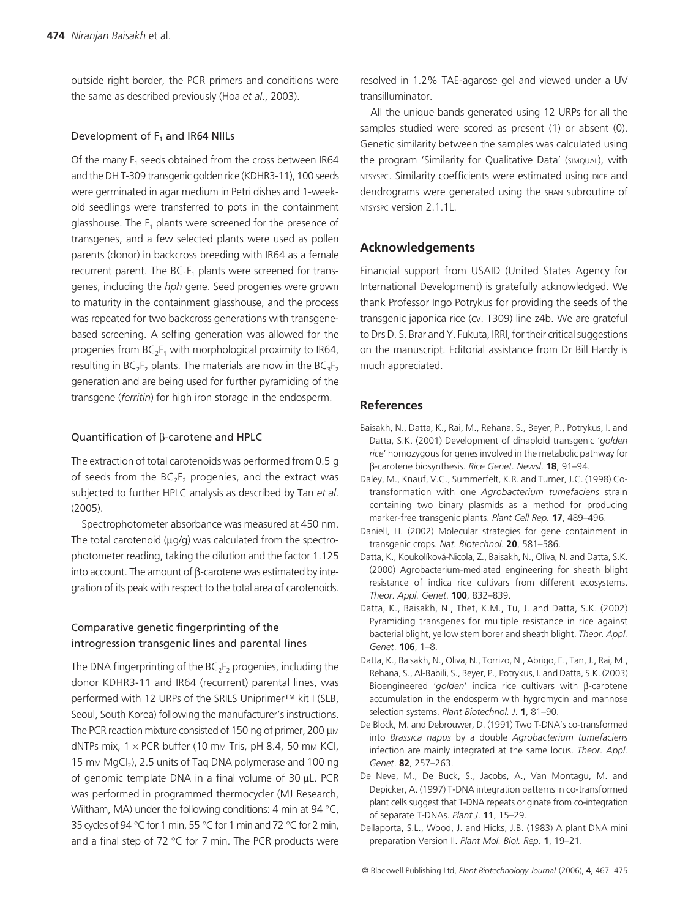outside right border, the PCR primers and conditions were the same as described previously (Hoa *et al*., 2003).

#### Development of  $F_1$  and IR64 NIILs

Of the many  $F_1$  seeds obtained from the cross between IR64 and the DH T-309 transgenic golden rice (KDHR3-11), 100 seeds were germinated in agar medium in Petri dishes and 1-weekold seedlings were transferred to pots in the containment glasshouse. The  $F_1$  plants were screened for the presence of transgenes, and a few selected plants were used as pollen parents (donor) in backcross breeding with IR64 as a female recurrent parent. The  $BC_1F_1$  plants were screened for transgenes, including the *hph* gene. Seed progenies were grown to maturity in the containment glasshouse, and the process was repeated for two backcross generations with transgenebased screening. A selfing generation was allowed for the progenies from  $BC_2F_1$  with morphological proximity to IR64, resulting in  $BC_2F_2$  plants. The materials are now in the  $BC_3F_2$ generation and are being used for further pyramiding of the transgene (*ferritin*) for high iron storage in the endosperm.

#### Quantification of β-carotene and HPLC

The extraction of total carotenoids was performed from 0.5 g of seeds from the  $BC_2F_2$  progenies, and the extract was subjected to further HPLC analysis as described by Tan *et al*. (2005).

Spectrophotometer absorbance was measured at 450 nm. The total carotenoid ( $\mu$ g/g) was calculated from the spectrophotometer reading, taking the dilution and the factor 1.125 into account. The amount of β-carotene was estimated by integration of its peak with respect to the total area of carotenoids.

# Comparative genetic fingerprinting of the introgression transgenic lines and parental lines

The DNA fingerprinting of the  $BC_2F_2$  progenies, including the donor KDHR3-11 and IR64 (recurrent) parental lines, was performed with 12 URPs of the SRILS Uniprimer™ kit I (SLB, Seoul, South Korea) following the manufacturer's instructions. The PCR reaction mixture consisted of 150 ng of primer, 200 µm dNTPs mix,  $1 \times PCR$  buffer (10 mm Tris, pH 8.4, 50 mm KCl, 15 mm  $MgCl<sub>2</sub>$ ), 2.5 units of Taq DNA polymerase and 100 ng of genomic template DNA in a final volume of 30 µL. PCR was performed in programmed thermocycler (MJ Research, Wiltham, MA) under the following conditions: 4 min at 94 °C, 35 cycles of 94 °C for 1 min, 55 °C for 1 min and 72 °C for 2 min, and a final step of 72 °C for 7 min. The PCR products were

resolved in 1.2% TAE-agarose gel and viewed under a UV transilluminator.

All the unique bands generated using 12 URPs for all the samples studied were scored as present (1) or absent (0). Genetic similarity between the samples was calculated using the program 'Similarity for Qualitative Data' (SIMQUAL), with NTSYSPC. Similarity coefficients were estimated using DICE and dendrograms were generated using the SHAN subroutine of NTSYSPC version 2.1.1L.

## **Acknowledgements**

Financial support from USAID (United States Agency for International Development) is gratefully acknowledged. We thank Professor Ingo Potrykus for providing the seeds of the transgenic japonica rice (cv. T309) line z4b. We are grateful to Drs D. S. Brar and Y. Fukuta, IRRI, for their critical suggestions on the manuscript. Editorial assistance from Dr Bill Hardy is much appreciated.

## **References**

- Baisakh, N., Datta, K., Rai, M., Rehana, S., Beyer, P., Potrykus, I. and Datta, S.K. (2001) Development of dihaploid transgenic '*golden rice*' homozygous for genes involved in the metabolic pathway for β-carotene biosynthesis. *Rice Genet. Newsl*. **18**, 91–94.
- Daley, M., Knauf, V.C., Summerfelt, K.R. and Turner, J.C. (1998) Cotransformation with one *Agrobacterium tumefaciens* strain containing two binary plasmids as a method for producing marker-free transgenic plants. *Plant Cell Rep.* **17**, 489–496.
- Daniell, H. (2002) Molecular strategies for gene containment in transgenic crops. *Nat. Biotechnol*. **20**, 581–586.
- Datta, K., Koukolíková-Nicola, Z., Baisakh, N., Oliva, N. and Datta, S.K. (2000) Agrobacterium-mediated engineering for sheath blight resistance of indica rice cultivars from different ecosystems. *Theor. Appl. Genet*. **100**, 832–839.
- Datta, K., Baisakh, N., Thet, K.M., Tu, J. and Datta, S.K. (2002) Pyramiding transgenes for multiple resistance in rice against bacterial blight, yellow stem borer and sheath blight. *Theor. Appl. Genet*. **106**, 1–8.
- Datta, K., Baisakh, N., Oliva, N., Torrizo, N., Abrigo, E., Tan, J., Rai, M., Rehana, S., Al-Babili, S., Beyer, P., Potrykus, I. and Datta, S.K. (2003) Bioengineered '*golden*' indica rice cultivars with β-carotene accumulation in the endosperm with hygromycin and mannose selection systems. *Plant Biotechnol. J*. **1**, 81–90.
- De Block, M. and Debrouwer, D. (1991) Two T-DNA's co-transformed into *Brassica napus* by a double *Agrobacterium tumefaciens* infection are mainly integrated at the same locus. *Theor. Appl. Genet*. **82**, 257–263.
- De Neve, M., De Buck, S., Jacobs, A., Van Montagu, M. and Depicker, A. (1997) T-DNA integration patterns in co-transformed plant cells suggest that T-DNA repeats originate from co-integration of separate T-DNAs. *Plant J*. **11**, 15–29.
- Dellaporta, S.L., Wood, J. and Hicks, J.B. (1983) A plant DNA mini preparation Version II. *Plant Mol. Biol. Rep.* **1**, 19–21.